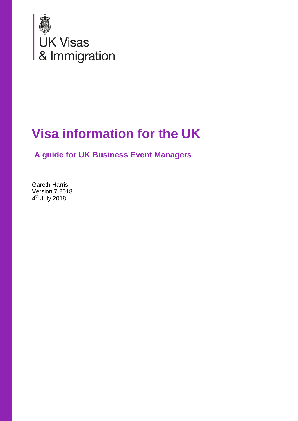

# **Visa information for the UK**

**A guide for UK Business Event Managers**

Gareth Harris Version 7.2018 4<sup>th</sup> July 2018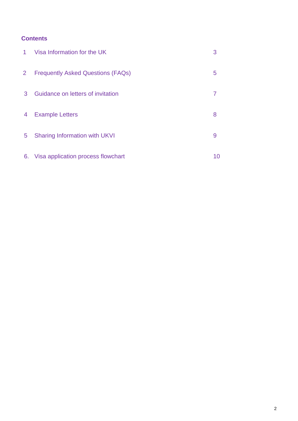### **Contents**

| $1 \ \overline{\phantom{0}}$ | Visa Information for the UK              |    |
|------------------------------|------------------------------------------|----|
| $\overline{2}$               | <b>Frequently Asked Questions (FAQs)</b> | 5  |
| 3                            | Guidance on letters of invitation        |    |
| 4                            | <b>Example Letters</b>                   | 8  |
| $5^{\circ}$                  | <b>Sharing Information with UKVI</b>     | 9  |
|                              | 6. Visa application process flowchart    | 10 |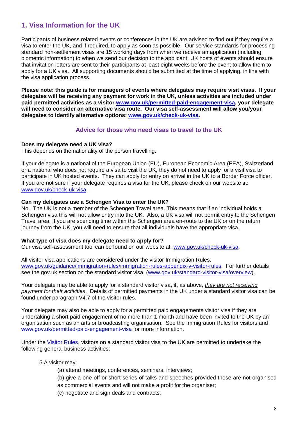## **1. Visa Information for the UK**

Participants of business related events or conferences in the UK are advised to find out if they require a visa to enter the UK, and if required, to apply as soon as possible. Our service standards for processing standard non-settlement visas are 15 working days from when we receive an application (including biometric information) to when we send our decision to the applicant. UK hosts of events should ensure that invitation letters are sent to their participants at least eight weeks before the event to allow them to apply for a UK visa. All supporting documents should be submitted at the time of applying, in line with the visa application process.

**Please note: this guide is for managers of events where delegates may require visit visas. If your delegates will be receiving any payment for work in the UK, unless activities are included under paid permitted activities as a visitor [www.gov.uk/permitted-paid-engagement-visa,](https://www.gov.uk/permitted-paid-engagement-visa) your delegate will need to consider an alternative visa route. Our visa self-assessment will allow you/your delegates to identify alternative options: [www.gov.uk/check-uk-visa.](http://www.gov.uk/check-uk-visa)**

#### **Advice for those who need visas to travel to the UK**

#### **Does my delegate need a UK visa?**

This depends on the nationality of the person travelling.

If your delegate is a national of the European Union (EU), European Economic Area (EEA), Switzerland or a national who does not require a visa to visit the UK, they do not need to apply for a visit visa to participate in UK hosted events. They can apply for entry on arrival in the UK to a Border Force officer. If you are not sure if your delegate requires a visa for the UK, please check on our website at: [www.gov.uk/check-uk-visa.](https://www.gov.uk/check-uk-visa)

#### **Can my delegates use a Schengen Visa to enter the UK?**

No. The UK is not a member of the Schengen Travel area. This means that if an individual holds a Schengen visa this will not allow entry into the UK. Also, a UK visa will not permit entry to the Schengen Travel area. If you are spending time within the Schengen area en-route to the UK or on the return journey from the UK, you will need to ensure that all individuals have the appropriate visa.

#### **What type of visa does my delegate need to apply for?**

Our visa self-assessment tool can be found on our website at: [www.gov.uk/check-uk-visa.](https://www.gov.uk/check-uk-visa)

All visitor visa applications are considered under the visitor Immigration Rules: [www.gov.uk/guidance/immigration-rules/immigration-rules-appendix-v-visitor-rules.](https://www.gov.uk/guidance/immigration-rules/immigration-rules-appendix-v-visitor-rules) For further details see the gov.uk section on the standard visitor visa [\(www.gov.uk/standard-visitor-visa/overview\)](https://www.gov.uk/standard-visitor-visa/overview).

Your delegate may be able to apply for a standard visitor visa, if, as above, *they are not receiving payment for their activities*. Details of permitted payments in the UK under a standard visitor visa can be found under paragraph V4.7 of the visitor rules.

Your delegate may also be able to apply for a permitted paid engagements visitor visa if they are undertaking a short paid engagement of no more than 1 month and have been invited to the UK by an organisation such as an arts or broadcasting organisation. See the Immigration Rules for visitors and [www.gov.uk/permitted-paid-engagement-visa](https://www.gov.uk/permitted-paid-engagement-visa) for more information.

Under the [Visitor Rules](https://www.gov.uk/guidance/immigration-rules/immigration-rules-appendix-v-visitor-rules), visitors on a standard visitor visa to the UK are permitted to undertake the following general business activities:

#### 5 A visitor may:

- (a) attend meetings, conferences, seminars, interviews;
- (b) give a one-off or short series of talks and speeches provided these are not organised
- as commercial events and will not make a profit for the organiser;
- (c) negotiate and sign deals and contracts;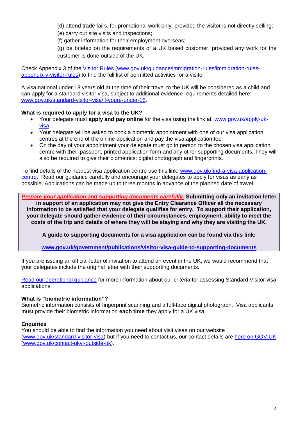(d) attend trade fairs, for promotional work only, provided the visitor is not directly selling; (e) carry out site visits and inspections;

(f) gather information for their employment overseas;

(g) be briefed on the requirements of a UK based customer, provided any work for the customer is done outside of the UK.

Check Appendix 3 of the [Visitor Rules](https://www.gov.uk/guidance/immigration-rules/immigration-rules-appendix-v-visitor-rules) [\(www.gov.uk/guidance/immigration-rules/immigration-rules](https://www.gov.uk/guidance/immigration-rules/immigration-rules-appendix-v-visitor-rules)[appendix-v-visitor-rules\)](https://www.gov.uk/guidance/immigration-rules/immigration-rules-appendix-v-visitor-rules) to find the full list of permitted activities for a visitor.

A visa national under 18 years old at the time of their travel to the UK will be considered as a child and can apply for a standard visitor visa, subject to additional evidence requirements detailed here: [www.gov.uk/standard-visitor-visa/if-youre-under-18.](https://www.gov.uk/standard-visitor-visa/if-youre-under-18)

#### **What is required to apply for a visa to the UK?**

- Your delegate must **apply and pay online** for the visa using the link at: [www.gov.uk/apply-uk](https://www.gov.uk/apply-uk-visa)[visa.](https://www.gov.uk/apply-uk-visa)
- Your delegate will be asked to book a biometric appointment with one of our visa application centres at the end of the online application and pay the visa application fee.
- On the day of your appointment your delegate must go in person to the chosen visa application centre with their passport, printed application form and any other supporting documents. They will also be required to give their biometrics: digital photograph and fingerprints.

To find details of the nearest visa application centre use this link: [www.gov.uk/find-a-visa-application](https://www.gov.uk/find-a-visa-application-centre)[centre.](https://www.gov.uk/find-a-visa-application-centre) Read our guidance carefully and encourage your delegates to apply for visas as early as possible. Applications can be made up to three months in advance of the planned date of travel.

*Prepare your application and supporting documents carefully.* **Submitting only an invitation letter in support of an application may not give the Entry Clearance Officer all the necessary information to be satisfied that your delegate qualifies for entry. To support their application, your delegate should gather evidence of their circumstances, employment, ability to meet the costs of the trip and details of where they will be staying and why they are visiting the UK.** 

**A guide to supporting documents for a visa application can be found via this link:** 

**[www.gov.uk/government/publications/visitor-visa-guide-to-supporting-documents](http://www.gov.uk/government/publications/visitor-visa-guide-to-supporting-documents)**

If you are issuing an official letter of invitation to attend an event in the UK, we would recommend that your delegates include the original letter with their supporting documents.

[Read our operational guidance](https://www.gov.uk/government/publications/visit-guidance) for more information about our criteria for assessing Standard Visitor visa applications.

#### **What is "biometric information"?**

Biometric information consists of fingerprint scanning and a full-face digital photograph. Visa applicants must provide their biometric information **each time** they apply for a UK visa.

#### **Enquiries**

You should be able to find the information you need about visit visas on our website [\(www.gov.uk/standard-visitor-visa\)](https://www.gov.uk/standard-visitor-visa) but if you need to contact us, our contact details are [here on GOV.UK](https://www.gov.uk/contact-ukvi-outside-uk) [\(www.gov.uk/contact-ukvi-outside-uk\)](http://www.gov.uk/contact-ukvi-outside-uk).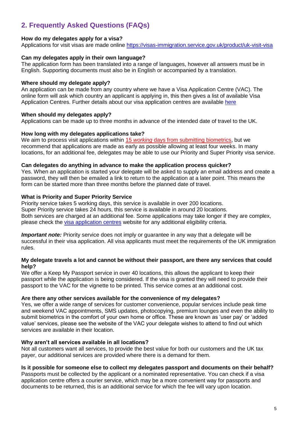## **2. Frequently Asked Questions (FAQs)**

#### **How do my delegates apply for a visa?**

Applications for visit visas are made online<https://visas-immigration.service.gov.uk/product/uk-visit-visa>

#### **Can my delegates apply in their own language?**

The application form has been translated into a range of languages, however all answers must be in English. Supporting documents must also be in English or accompanied by a translation.

#### **Where should my delegate apply?**

An application can be made from any country where we have a Visa Application Centre (VAC). The online form will ask which country an applicant is applying in, this then gives a list of available Visa Application Centres. Further details about our visa application centres are available [here](https://www.gov.uk/find-a-visa-application-centre)

#### **When should my delegates apply?**

Applications can be made up to three months in advance of the intended date of travel to the UK.

#### **How long with my delegates applications take?**

We aim to process visit applications within 15 *working* days from submitting biometrics, but we recommend that applications are made as early as possible allowing at least four weeks. In many locations, for an additional fee, delegates may be able to use our Priority and Super Priority visa service.

#### **Can delegates do anything in advance to make the application process quicker?**

Yes. When an application is started your delegate will be asked to supply an email address and create a password, they will then be emailed a link to return to the application at a later point. This means the form can be started more than three months before the planned date of travel.

#### **What is Priority and Super Priority Service**

Priority service takes 5 working days, this service is available in over 200 locations. Super Priority service takes 24 hours, this service is available in around 20 locations. Both services are charged at an additional fee. Some applications may take longer if they are complex, please check the [visa application centres](https://www.gov.uk/find-a-visa-application-centre) website for any additional eligibility criteria.

*Important note:* Priority service does not imply or quarantee in any way that a delegate will be successful in their visa application. All visa applicants must meet the requirements of the UK immigration rules.

#### **My delegate travels a lot and cannot be without their passport, are there any services that could help?**

We offer a Keep My Passport service in over 40 locations, this allows the applicant to keep their passport while the application is being considered. If the visa is granted they will need to provide their passport to the VAC for the vignette to be printed. This service comes at an additional cost.

#### **Are there any other services available for the convenience of my delegates?**

Yes, we offer a wide range of services for customer convenience, popular services include peak time and weekend VAC appointments, SMS updates, photocopying, premium lounges and even the ability to submit biometrics in the comfort of your own home or office. These are known as 'user pay' or 'added value' services, please see the website of the VAC your delegate wishes to attend to find out which services are available in their location.

#### **Why aren't all services available in all locations?**

Not all customers want all services, to provide the best value for both our customers and the UK tax payer, our additional services are provided where there is a demand for them.

#### **Is it possible for someone else to collect my delegates passport and documents on their behalf?**

Passports must be collected by the applicant or a nominated representative. You can check if a visa application centre offers a courier service, which may be a more convenient way for passports and documents to be returned, this is an additional service for which the fee will vary upon location.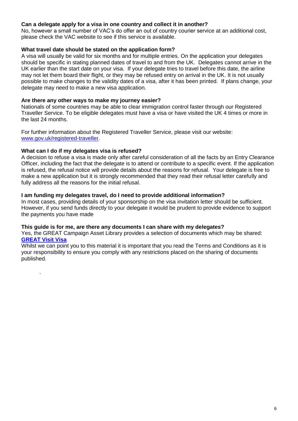#### **Can a delegate apply for a visa in one country and collect it in another?**

No, however a small number of VAC's do offer an out of country courier service at an additional cost, please check the VAC website to see if this service is available.

#### **What travel date should be stated on the application form?**

A visa will usually be valid for six months and for multiple entries. On the application your delegates should be specific in stating planned dates of travel to and from the UK. Delegates cannot arrive in the UK earlier than the start date on your visa. If your delegate tries to travel before this date, the airline may not let them board their flight, or they may be refused entry on arrival in the UK. It is not usually possible to make changes to the validity dates of a visa, after it has been printed. If plans change, your delegate may need to make a new visa application.

#### **Are there any other ways to make my journey easier?**

Nationals of some countries may be able to clear immigration control faster through our Registered Traveller Service. To be eligible delegates must have a visa or have visited the UK 4 times or more in the last 24 months.

For further information about the Registered Traveller Service, please visit our website: [www.gov.uk/registered-traveller.](https://www.gov.uk/registered-traveller)

#### **What can I do if my delegates visa is refused?**

.

A decision to refuse a visa is made only after careful consideration of all the facts by an Entry Clearance Officer, including the fact that the delegate is to attend or contribute to a specific event. If the application is refused, the refusal notice will provide details about the reasons for refusal. Your delegate is free to make a new application but it is strongly recommended that they read their refusal letter carefully and fully address all the reasons for the initial refusal.

#### **I am funding my delegates travel, do I need to provide additional information?**

In most cases, providing details of your sponsorship on the visa invitation letter should be sufficient. However, if you send funds directly to your delegate it would be prudent to provide evidence to support the payments you have made

#### **This guide is for me, are there any documents I can share with my delegates?**

Yes, the GREAT Campaign Asset Library provides a selection of documents which may be shared: **[GREAT Visit Visa](http://brand.great.gov.uk/bms/?link=D7A0F9D0)**

Whilst we can point you to this material it is important that you read the Terms and Conditions as it is your responsibility to ensure you comply with any restrictions placed on the sharing of documents published.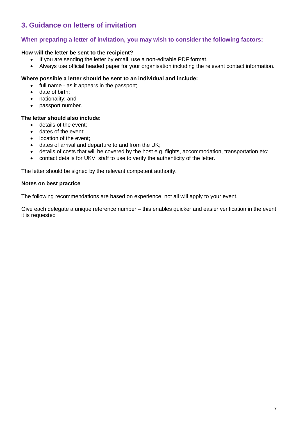## **3. Guidance on letters of invitation**

#### **When preparing a letter of invitation, you may wish to consider the following factors:**

#### **How will the letter be sent to the recipient?**

- If you are sending the letter by email, use a non-editable PDF format.
- Always use official headed paper for your organisation including the relevant contact information.

#### **Where possible a letter should be sent to an individual and include:**

- full name as it appears in the passport;
- date of birth:
- nationality; and
- passport number.

#### **The letter should also include:**

- details of the event;
- dates of the event:
- location of the event;
- dates of arrival and departure to and from the UK;
- details of costs that will be covered by the host e.g. flights, accommodation, transportation etc;
- contact details for UKVI staff to use to verify the authenticity of the letter.

The letter should be signed by the relevant competent authority.

#### **Notes on best practice**

The following recommendations are based on experience, not all will apply to your event.

Give each delegate a unique reference number – this enables quicker and easier verification in the event it is requested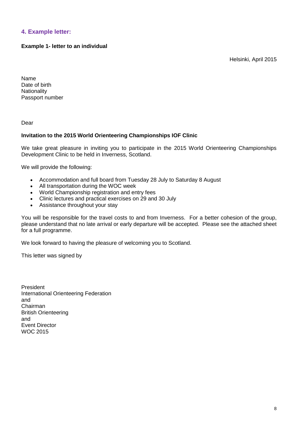#### **4. Example letter:**

#### **Example 1- letter to an individual**

Helsinki, April 2015

Name Date of birth **Nationality** Passport number

Dear

#### **Invitation to the 2015 World Orienteering Championships IOF Clinic**

We take great pleasure in inviting you to participate in the 2015 World Orienteering Championships Development Clinic to be held in Inverness, Scotland.

We will provide the following:

- Accommodation and full board from Tuesday 28 July to Saturday 8 August
- All transportation during the WOC week
- World Championship registration and entry fees<br>• Clinic lectures and practical exercises on 29 and
- Clinic lectures and practical exercises on 29 and 30 July
- Assistance throughout your stay

You will be responsible for the travel costs to and from Inverness. For a better cohesion of the group, please understand that no late arrival or early departure will be accepted. Please see the attached sheet for a full programme.

We look forward to having the pleasure of welcoming you to Scotland.

This letter was signed by

President International Orienteering Federation and Chairman British Orienteering and Event Director WOC 2015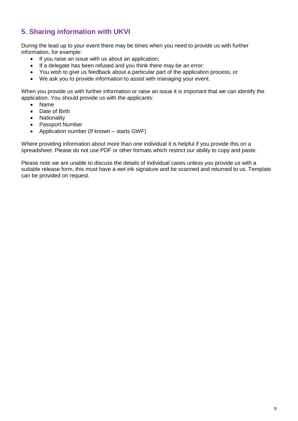## **5. Sharing information with UKVI**

During the lead up to your event there may be times when you need to provide us with further information, for example:

- If you raise an issue with us about an application;
- If a delegate has been refused and you think there may be an error;
- You wish to give us feedback about a particular part of the application process; or
- We ask you to provide information to assist with managing your event.

When you provide us with further information or raise an issue it is important that we can identify the application. You should provide us with the applicants:

- Name
- Date of Birth
- Nationality
- Passport Number
- Application number (If known starts GWF)

Where providing information about more than one individual it is helpful if you provide this on a spreadsheet. Please do not use PDF or other formats which restrict our ability to copy and paste.

Please note we are unable to discuss the details of individual cases unless you provide us with a suitable release form, this must have a wet ink signature and be scanned and returned to us. Template can be provided on request.